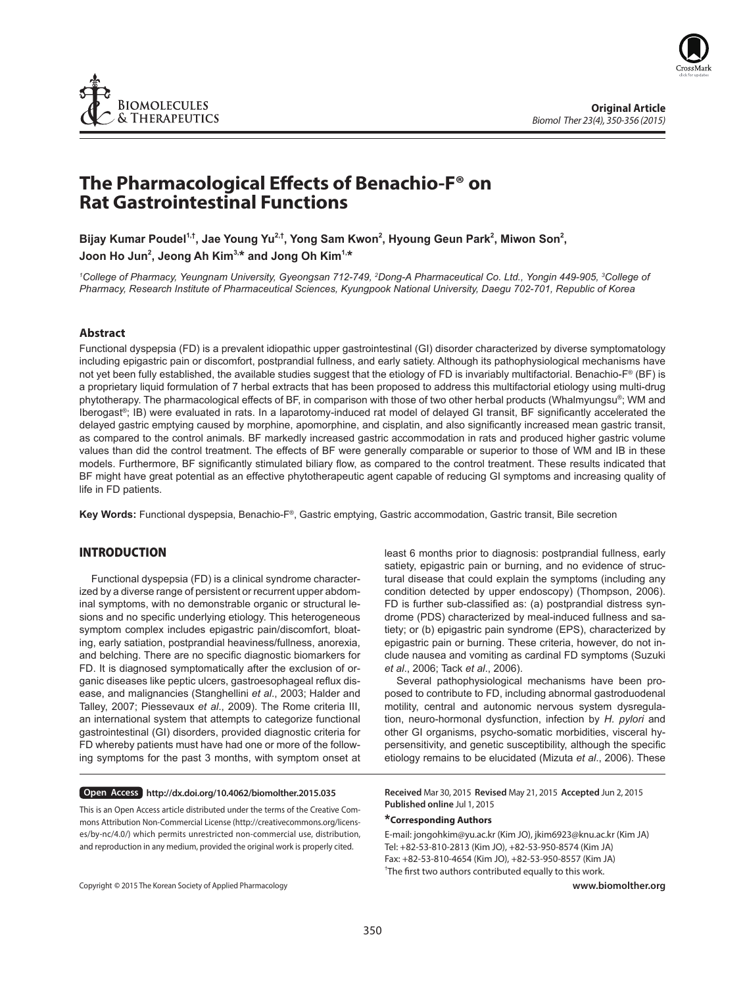

# The Pharmacological Effects of Benachio-F<sup>®</sup> on **Rat Gastrointestinal Functions**

Bijay Kumar Poudel<sup>1,†</sup>, Jae Young Yu<sup>2,†</sup>, Yong Sam Kwon<sup>2</sup>, Hyoung Geun Park<sup>2</sup>, Miwon Son<sup>2</sup>, **Joon Ho Jun2 , Jeong Ah Kim3,\* and Jong Oh Kim1,\***

<sup>1</sup>College of Pharmacy, Yeungnam University, Gyeongsan 712-749, <sup>2</sup>Dong-A Pharmaceutical Co. Ltd., Yongin 449-905, <sup>3</sup>College of *Pharmacy, Research Institute of Pharmaceutical Sciences, Kyungpook National University, Daegu 702-701, Republic of Korea*

## **Abstract**

Functional dyspepsia (FD) is a prevalent idiopathic upper gastrointestinal (GI) disorder characterized by diverse symptomatology including epigastric pain or discomfort, postprandial fullness, and early satiety. Although its pathophysiological mechanisms have not yet been fully established, the available studies suggest that the etiology of FD is invariably multifactorial. Benachio-F<sup>®</sup> (BF) is a proprietary liquid formulation of 7 herbal extracts that has been proposed to address this multifactorial etiology using multi-drug phytotherapy. The pharmacological effects of BF, in comparison with those of two other herbal products (Whalmyungsu®; WM and Iberogast®; IB) were evaluated in rats. In a laparotomy-induced rat model of delayed GI transit, BF significantly accelerated the delayed gastric emptying caused by morphine, apomorphine, and cisplatin, and also significantly increased mean gastric transit, as compared to the control animals. BF markedly increased gastric accommodation in rats and produced higher gastric volume values than did the control treatment. The effects of BF were generally comparable or superior to those of WM and IB in these models. Furthermore, BF significantly stimulated biliary flow, as compared to the control treatment. These results indicated that BF might have great potential as an effective phytotherapeutic agent capable of reducing GI symptoms and increasing quality of life in FD patients.

**Key Words:** Functional dyspepsia, Benachio-F®, Gastric emptying, Gastric accommodation, Gastric transit, Bile secretion

# **INTRODUCTION**

Functional dyspepsia (FD) is a clinical syndrome characterized by a diverse range of persistent or recurrent upper abdominal symptoms, with no demonstrable organic or structural lesions and no specific underlying etiology. This heterogeneous symptom complex includes epigastric pain/discomfort, bloating, early satiation, postprandial heaviness/fullness, anorexia, and belching. There are no specific diagnostic biomarkers for FD. It is diagnosed symptomatically after the exclusion of organic diseases like peptic ulcers, gastroesophageal reflux disease, and malignancies (Stanghellini *et al*., 2003; Halder and Talley, 2007; Piessevaux *et al*., 2009). The Rome criteria III, an international system that attempts to categorize functional gastrointestinal (GI) disorders, provided diagnostic criteria for FD whereby patients must have had one or more of the following symptoms for the past 3 months, with symptom onset at

**Open Access http://dx.doi.org/10.4062/biomolther.2015.035**

This is an Open Access article distributed under the terms of the Creative Commons Attribution Non-Commercial License (http://creativecommons.org/licenses/by-nc/4.0/) which permits unrestricted non-commercial use, distribution, and reproduction in any medium, provided the original work is properly cited.

satiety, epigastric pain or burning, and no evidence of structural disease that could explain the symptoms (including any condition detected by upper endoscopy) (Thompson, 2006). FD is further sub-classified as: (a) postprandial distress syndrome (PDS) characterized by meal-induced fullness and satiety; or (b) epigastric pain syndrome (EPS), characterized by epigastric pain or burning. These criteria, however, do not include nausea and vomiting as cardinal FD symptoms (Suzuki *et al*., 2006; Tack *et al*., 2006).

least 6 months prior to diagnosis: postprandial fullness, early

Several pathophysiological mechanisms have been proposed to contribute to FD, including abnormal gastroduodenal motility, central and autonomic nervous system dysregulation, neuro-hormonal dysfunction, infection by *H. pylori* and other GI organisms, psycho-somatic morbidities, visceral hypersensitivity, and genetic susceptibility, although the specific etiology remains to be elucidated (Mizuta *et al*., 2006). These

**Received** Mar 30, 2015 **Revised** May 21, 2015 **Accepted** Jun 2, 2015 **Published online** Jul 1, 2015

# **\*Corresponding Authors**

E-mail: jongohkim@yu.ac.kr (Kim JO), jkim6923@knu.ac.kr (Kim JA) Tel: +82-53-810-2813 (Kim JO), +82-53-950-8574 (Kim JA) Fax: +82-53-810-4654 (Kim JO), +82-53-950-8557 (Kim JA) <sup>†</sup>The first two authors contributed equally to this work.

Copyright **©** 2015 The Korean Society of Applied Pharmacology

**www.biomolther.org**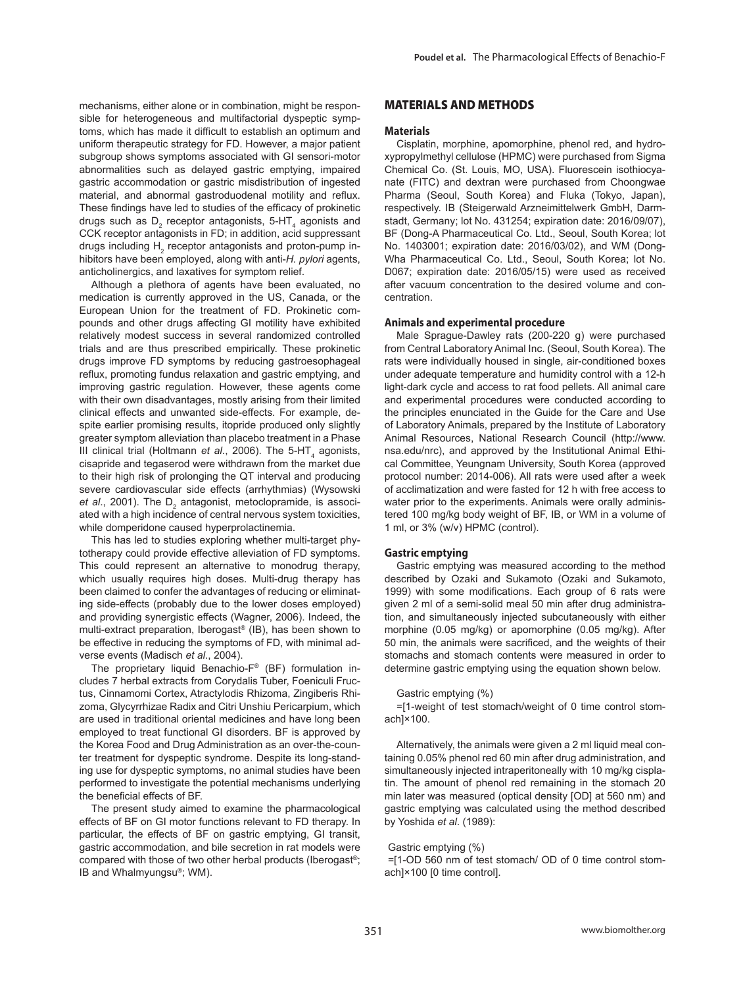mechanisms, either alone or in combination, might be responsible for heterogeneous and multifactorial dyspeptic symptoms, which has made it difficult to establish an optimum and uniform therapeutic strategy for FD. However, a major patient subgroup shows symptoms associated with GI sensori-motor abnormalities such as delayed gastric emptying, impaired gastric accommodation or gastric misdistribution of ingested material, and abnormal gastroduodenal motility and reflux. These findings have led to studies of the efficacy of prokinetic drugs such as  $D_2$  receptor antagonists, 5-HT<sub>4</sub> agonists and CCK receptor antagonists in FD; in addition, acid suppressant drugs including  $H_2$  receptor antagonists and proton-pump inhibitors have been employed, along with anti-*H. pylori* agents, anticholinergics, and laxatives for symptom relief.

Although a plethora of agents have been evaluated, no medication is currently approved in the US, Canada, or the European Union for the treatment of FD. Prokinetic compounds and other drugs affecting GI motility have exhibited relatively modest success in several randomized controlled trials and are thus prescribed empirically. These prokinetic drugs improve FD symptoms by reducing gastroesophageal reflux, promoting fundus relaxation and gastric emptying, and improving gastric regulation. However, these agents come with their own disadvantages, mostly arising from their limited clinical effects and unwanted side-effects. For example, despite earlier promising results, itopride produced only slightly greater symptom alleviation than placebo treatment in a Phase III clinical trial (Holtmann et al., 2006). The 5-HT<sub>4</sub> agonists, cisapride and tegaserod were withdrawn from the market due to their high risk of prolonging the QT interval and producing severe cardiovascular side effects (arrhythmias) (Wysowski et al., 2001). The D<sub>2</sub> antagonist, metoclopramide, is associated with a high incidence of central nervous system toxicities, while domperidone caused hyperprolactinemia.

This has led to studies exploring whether multi-target phytotherapy could provide effective alleviation of FD symptoms. This could represent an alternative to monodrug therapy, which usually requires high doses. Multi-drug therapy has been claimed to confer the advantages of reducing or eliminating side-effects (probably due to the lower doses employed) and providing synergistic effects (Wagner, 2006). Indeed, the multi-extract preparation, Iberogast® (IB), has been shown to be effective in reducing the symptoms of FD, with minimal adverse events (Madisch *et al*., 2004).

The proprietary liquid Benachio-F® (BF) formulation includes 7 herbal extracts from Corydalis Tuber, Foeniculi Fructus, Cinnamomi Cortex, Atractylodis Rhizoma, Zingiberis Rhizoma, Glycyrrhizae Radix and Citri Unshiu Pericarpium, which are used in traditional oriental medicines and have long been employed to treat functional GI disorders. BF is approved by the Korea Food and Drug Administration as an over-the-counter treatment for dyspeptic syndrome. Despite its long-standing use for dyspeptic symptoms, no animal studies have been performed to investigate the potential mechanisms underlying the beneficial effects of BF.

The present study aimed to examine the pharmacological effects of BF on GI motor functions relevant to FD therapy. In particular, the effects of BF on gastric emptying, GI transit, gastric accommodation, and bile secretion in rat models were compared with those of two other herbal products (Iberogast®; IB and Whalmyungsu®; WM).

# **MATERIALS AND METHODS**

#### **Materials**

Cisplatin, morphine, apomorphine, phenol red, and hydroxypropylmethyl cellulose (HPMC) were purchased from Sigma Chemical Co. (St. Louis, MO, USA). Fluorescein isothiocyanate (FITC) and dextran were purchased from Choongwae Pharma (Seoul, South Korea) and Fluka (Tokyo, Japan), respectively. IB (Steigerwald Arzneimittelwerk GmbH, Darmstadt, Germany; lot No. 431254; expiration date: 2016/09/07), BF (Dong-A Pharmaceutical Co. Ltd., Seoul, South Korea; lot No. 1403001; expiration date: 2016/03/02), and WM (Dong-Wha Pharmaceutical Co. Ltd., Seoul, South Korea; lot No. D067; expiration date: 2016/05/15) were used as received after vacuum concentration to the desired volume and concentration.

#### **Animals and experimental procedure**

Male Sprague-Dawley rats (200-220 g) were purchased from Central Laboratory Animal Inc. (Seoul, South Korea). The rats were individually housed in single, air-conditioned boxes under adequate temperature and humidity control with a 12-h light-dark cycle and access to rat food pellets. All animal care and experimental procedures were conducted according to the principles enunciated in the Guide for the Care and Use of Laboratory Animals, prepared by the Institute of Laboratory Animal Resources, National Research Council (http://www. nsa.edu/nrc), and approved by the Institutional Animal Ethical Committee, Yeungnam University, South Korea (approved protocol number: 2014-006). All rats were used after a week of acclimatization and were fasted for 12 h with free access to water prior to the experiments. Animals were orally administered 100 mg/kg body weight of BF, IB, or WM in a volume of 1 ml, or 3% (w/v) HPMC (control).

## **Gastric emptying**

Gastric emptying was measured according to the method described by Ozaki and Sukamoto (Ozaki and Sukamoto, 1999) with some modifications. Each group of 6 rats were given 2 ml of a semi-solid meal 50 min after drug administration, and simultaneously injected subcutaneously with either morphine (0.05 mg/kg) or apomorphine (0.05 mg/kg). After 50 min, the animals were sacrificed, and the weights of their stomachs and stomach contents were measured in order to determine gastric emptying using the equation shown below.

#### Gastric emptying (%)

=[1-weight of test stomach/weight of 0 time control stomach]×100.

Alternatively, the animals were given a 2 ml liquid meal containing 0.05% phenol red 60 min after drug administration, and simultaneously injected intraperitoneally with 10 mg/kg cisplatin. The amount of phenol red remaining in the stomach 20 min later was measured (optical density [OD] at 560 nm) and gastric emptying was calculated using the method described by Yoshida *et al*. (1989):

#### Gastric emptying (%)

=[1-OD 560 nm of test stomach/ OD of 0 time control stomach]×100 [0 time control].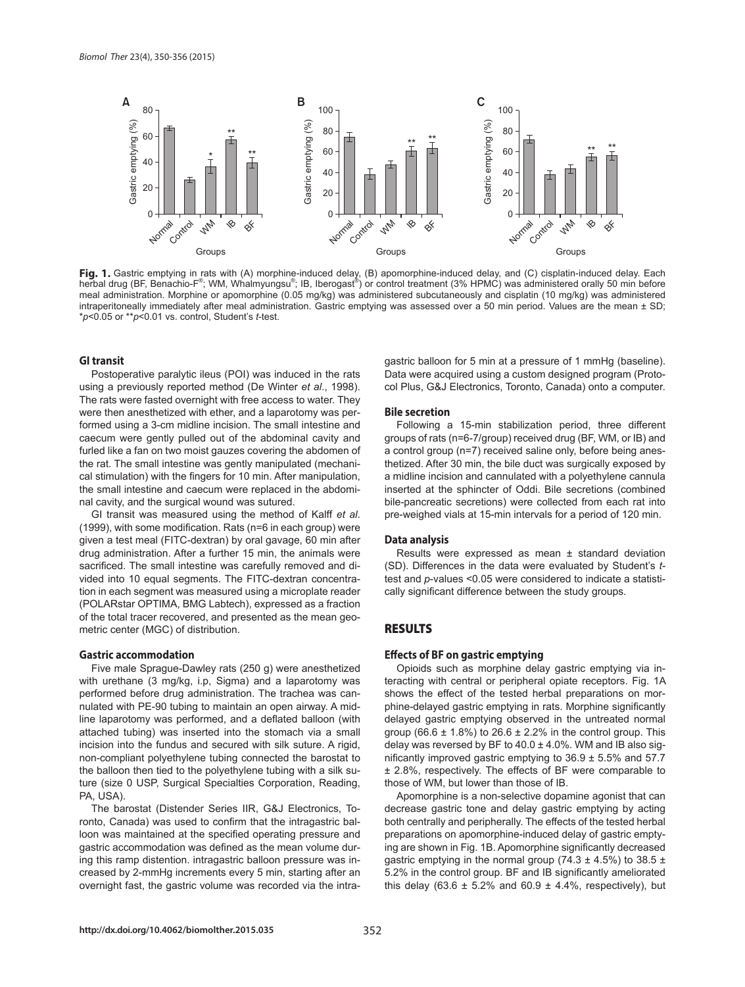

Fig. 1. Gastric emptying in rats with (A) morphine-induced delay, (B) apomorphine-induced delay, and (C) cisplatin-induced delay. Each herbal drug (BF, Benachio-F®; WM, Whalmyungsu®; IB, Iberogast®) or control treatment (3% HPMC) was administered orally 50 min before meal administration. Morphine or apomorphine (0.05 mg/kg) was administered subcutaneously and cisplatin (10 mg/kg) was administered intraperitoneally immediately after meal administration. Gastric emptying was assessed over a 50 min period. Values are the mean ± SD;

# **GI transit**

Postoperative paralytic ileus (POI) was induced in the rats using a previously reported method (De Winter *et al*., 1998). The rats were fasted overnight with free access to water. They were then anesthetized with ether, and a laparotomy was performed using a 3-cm midline incision. The small intestine and caecum were gently pulled out of the abdominal cavity and furled like a fan on two moist gauzes covering the abdomen of the rat. The small intestine was gently manipulated (mechanical stimulation) with the fingers for 10 min. After manipulation, the small intestine and caecum were replaced in the abdominal cavity, and the surgical wound was sutured.

GI transit was measured using the method of Kalff *et al*. (1999), with some modification. Rats ( $n=6$  in each group) were given a test meal (FITC-dextran) by oral gavage, 60 min after drug administration. After a further 15 min, the animals were sacrificed. The small intestine was carefully removed and divided into 10 equal segments. The FITC-dextran concentration in each segment was measured using a microplate reader (POLARstar OPTIMA, BMG Labtech), expressed as a fraction of the total tracer recovered, and presented as the mean geometric center (MGC) of distribution.

#### **Gastric accommodation**

Five male Sprague-Dawley rats (250 g) were anesthetized with urethane (3 mg/kg, i.p, Sigma) and a laparotomy was performed before drug administration. The trachea was cannulated with PE-90 tubing to maintain an open airway. A midline laparotomy was performed, and a deflated balloon (with attached tubing) was inserted into the stomach via a small incision into the fundus and secured with silk suture. A rigid, non-compliant polyethylene tubing connected the barostat to the balloon then tied to the polyethylene tubing with a silk suture (size 0 USP, Surgical Specialties Corporation, Reading, PA, USA).

The barostat (Distender Series IIR, G&J Electronics, Toronto, Canada) was used to confirm that the intragastric balloon was maintained at the specified operating pressure and gastric accommodation was defined as the mean volume during this ramp distention. intragastric balloon pressure was increased by 2-mmHg increments every 5 min, starting after an overnight fast, the gastric volume was recorded via the intragastric balloon for 5 min at a pressure of 1 mmHg (baseline). Data were acquired using a custom designed program (Protocol Plus, G&J Electronics, Toronto, Canada) onto a computer.

#### **Bile secretion**

Following a 15-min stabilization period, three different groups of rats (n=6-7/group) received drug (BF, WM, or IB) and a control group (n=7) received saline only, before being anesthetized. After 30 min, the bile duct was surgically exposed by a midline incision and cannulated with a polyethylene cannula inserted at the sphincter of Oddi. Bile secretions (combined bile-pancreatic secretions) were collected from each rat into pre-weighed vials at 15-min intervals for a period of 120 min.

#### **Data analysis**

Results were expressed as mean ± standard deviation (SD). Differences in the data were evaluated by Student's *t*test and *p*-values <0.05 were considered to indicate a statistically significant difference between the study groups.

# **RESULTS**

#### **Eff ects of BF on gastric emptying**

Opioids such as morphine delay gastric emptying via interacting with central or peripheral opiate receptors. Fig. 1A shows the effect of the tested herbal preparations on morphine-delayed gastric emptying in rats. Morphine significantly delayed gastric emptying observed in the untreated normal group (66.6  $\pm$  1.8%) to 26.6  $\pm$  2.2% in the control group. This delay was reversed by BF to  $40.0 \pm 4.0\%$ . WM and IB also significantly improved gastric emptying to  $36.9 \pm 5.5\%$  and  $57.7$ ± 2.8%, respectively. The effects of BF were comparable to those of WM, but lower than those of IB.

Apomorphine is a non-selective dopamine agonist that can decrease gastric tone and delay gastric emptying by acting both centrally and peripherally. The effects of the tested herbal preparations on apomorphine-induced delay of gastric emptying are shown in Fig. 1B. Apomorphine significantly decreased gastric emptying in the normal group (74.3  $\pm$  4.5%) to 38.5  $\pm$ 5.2% in the control group. BF and IB significantly ameliorated this delay (63.6  $\pm$  5.2% and 60.9  $\pm$  4.4%, respectively), but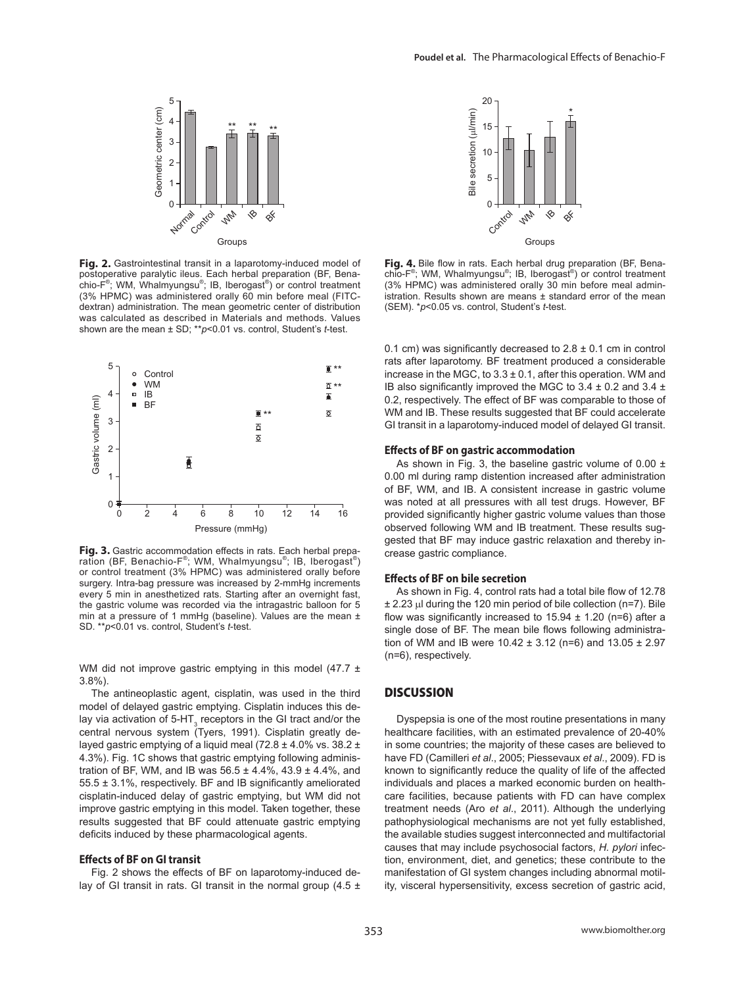

Fig. 2. Gastrointestinal transit in a laparotomy-induced model of postoperative paralytic ileus. Each herbal preparation (BF, Benachio-F® ; WM, Whalmyungsu® ; IB, Iberogast® ) or control treatment (3% HPMC) was administered orally 60 min before meal (FITCdextran) administration. The mean geometric center of distribution was calculated as described in Materials and methods. Values shown are the mean ± SD; \*\**p*<0.01 vs. control, Student's *t*-test.



Fig. 3. Gastric accommodation effects in rats. Each herbal preparation (BF, Benachio-F®; WM, Whalmyungsu®; IB, Iberogast®) or control treatment (3% HPMC) was administered orally before surgery. Intra-bag pressure was increased by 2-mmHg increments every 5 min in anesthetized rats. Starting after an overnight fast, the gastric volume was recorded via the intragastric balloon for 5 min at a pressure of 1 mmHg (baseline). Values are the mean ±

WM did not improve gastric emptying in this model  $(47.7 \pm 1)$ 3.8%).

The antineoplastic agent, cisplatin, was used in the third model of delayed gastric emptying. Cisplatin induces this delay via activation of 5-HT<sub>3</sub> receptors in the GI tract and/or the central nervous system (Tyers, 1991). Cisplatin greatly delayed gastric emptying of a liquid meal (72.8 ± 4.0% vs. 38.2 ± 4.3%). Fig. 1C shows that gastric emptying following administration of BF, WM, and IB was  $56.5 \pm 4.4\%$ ,  $43.9 \pm 4.4\%$ , and  $55.5 \pm 3.1\%$ , respectively. BF and IB significantly ameliorated cisplatin-induced delay of gastric emptying, but WM did not improve gastric emptying in this model. Taken together, these results suggested that BF could attenuate gastric emptying deficits induced by these pharmacological agents.

#### **Effects of BF on GI transit**

Fig. 2 shows the effects of BF on laparotomy-induced delay of GI transit in rats. GI transit in the normal group  $(4.5 \pm 1)$ 



**Fig. 4.** Bile flow in rats. Each herbal drug preparation (BF, Bena-<br>chio-F<sup>®</sup>; WM, Whalmyungsu®; IB, Iberogast®) or control treatment (3% HPMC) was administered orally 30 min before meal administration. Results shown are means  $\pm$  standard error of the mean (SEM). \**p*<0.05 vs. control, Student's *t*-test.

0.1 cm) was significantly decreased to  $2.8 \pm 0.1$  cm in control rats after laparotomy. BF treatment produced a considerable increase in the MGC, to  $3.3 \pm 0.1$ , after this operation. WM and IB also significantly improved the MGC to  $3.4 \pm 0.2$  and  $3.4 \pm$ 0.2, respectively. The effect of BF was comparable to those of WM and IB. These results suggested that BF could accelerate GI transit in a laparotomy-induced model of delayed GI transit.

#### **Eff ects of BF on gastric accommodation**

As shown in Fig. 3, the baseline gastric volume of 0.00  $\pm$ 0.00 ml during ramp distention increased after administration of BF, WM, and IB. A consistent increase in gastric volume was noted at all pressures with all test drugs. However, BF provided significantly higher gastric volume values than those observed following WM and IB treatment. These results suggested that BF may induce gastric relaxation and thereby increase gastric compliance.

#### **Eff ects of BF on bile secretion**

As shown in Fig. 4, control rats had a total bile flow of 12.78 ± 2.23 μl during the 120 min period of bile collection (n=7). Bile flow was significantly increased to  $15.94 \pm 1.20$  (n=6) after a single dose of BF. The mean bile flows following administration of WM and IB were  $10.42 \pm 3.12$  (n=6) and  $13.05 \pm 2.97$ (n=6), respectively.

# **DISCUSSION**

Dyspepsia is one of the most routine presentations in many healthcare facilities, with an estimated prevalence of 20-40% in some countries; the majority of these cases are believed to have FD (Camilleri *et al*., 2005; Piessevaux *et al*., 2009). FD is known to significantly reduce the quality of life of the affected individuals and places a marked economic burden on healthcare facilities, because patients with FD can have complex treatment needs (Aro *et al*., 2011). Although the underlying pathophysiological mechanisms are not yet fully established, the available studies suggest interconnected and multifactorial causes that may include psychosocial factors, *H. pylori* infection, environment, diet, and genetics; these contribute to the manifestation of GI system changes including abnormal motility, visceral hypersensitivity, excess secretion of gastric acid,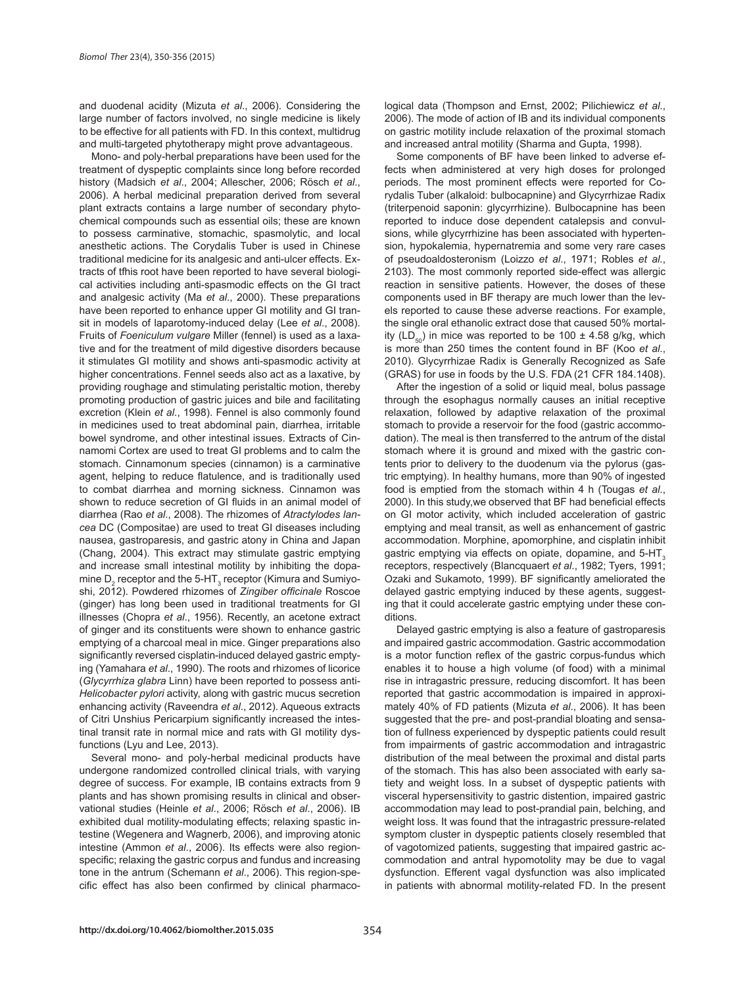and duodenal acidity (Mizuta *et al*., 2006). Considering the large number of factors involved, no single medicine is likely to be effective for all patients with FD. In this context, multidrug and multi-targeted phytotherapy might prove advantageous.

Mono- and poly-herbal preparations have been used for the treatment of dyspeptic complaints since long before recorded history (Madsich *et al*., 2004; Allescher, 2006; Rösch *et al*., 2006). A herbal medicinal preparation derived from several plant extracts contains a large number of secondary phytochemical compounds such as essential oils; these are known to possess carminative, stomachic, spasmolytic, and local anesthetic actions. The Corydalis Tuber is used in Chinese traditional medicine for its analgesic and anti-ulcer effects. Extracts of tfhis root have been reported to have several biological activities including anti-spasmodic effects on the GI tract and analgesic activity (Ma *et al*., 2000). These preparations have been reported to enhance upper GI motility and GI transit in models of laparotomy-induced delay (Lee *et al*., 2008). Fruits of *Foeniculum vulgare* Miller (fennel) is used as a laxative and for the treatment of mild digestive disorders because it stimulates GI motility and shows anti-spasmodic activity at higher concentrations. Fennel seeds also act as a laxative, by providing roughage and stimulating peristaltic motion, thereby promoting production of gastric juices and bile and facilitating excretion (Klein *et al*., 1998). Fennel is also commonly found in medicines used to treat abdominal pain, diarrhea, irritable bowel syndrome, and other intestinal issues. Extracts of Cinnamomi Cortex are used to treat GI problems and to calm the stomach. Cinnamonum species (cinnamon) is a carminative agent, helping to reduce flatulence, and is traditionally used to combat diarrhea and morning sickness. Cinnamon was shown to reduce secretion of GI fluids in an animal model of diarrhea (Rao *et al*., 2008). The rhizomes of *Atractylodes lancea* DC (Compositae) are used to treat GI diseases including nausea, gastroparesis, and gastric atony in China and Japan (Chang, 2004). This extract may stimulate gastric emptying and increase small intestinal motility by inhibiting the dopamine  $\mathsf{D}_2$  receptor and the 5-HT<sub>3</sub> receptor (Kimura and Sumiyoshi, 2012). Powdered rhizomes of *Zingiber officinale* Roscoe (ginger) has long been used in traditional treatments for GI illnesses (Chopra *et al*., 1956). Recently, an acetone extract of ginger and its constituents were shown to enhance gastric emptying of a charcoal meal in mice. Ginger preparations also significantly reversed cisplatin-induced delayed gastric emptying (Yamahara *et al*., 1990). The roots and rhizomes of licorice (*Glycyrrhiza glabra* Linn) have been reported to possess anti-*Helicobacter pylori* activity, along with gastric mucus secretion enhancing activity (Raveendra *et al*., 2012). Aqueous extracts of Citri Unshius Pericarpium significantly increased the intestinal transit rate in normal mice and rats with GI motility dysfunctions (Lyu and Lee, 2013).

Several mono- and poly-herbal medicinal products have undergone randomized controlled clinical trials, with varying degree of success. For example, IB contains extracts from 9 plants and has shown promising results in clinical and observational studies (Heinle *et al*., 2006; Rösch *et al*., 2006). IB exhibited dual motility-modulating effects; relaxing spastic intestine (Wegenera and Wagnerb, 2006), and improving atonic intestine (Ammon *et al*., 2006). Its effects were also regionspecific; relaxing the gastric corpus and fundus and increasing tone in the antrum (Schemann *et al*., 2006). This region-specific effect has also been confirmed by clinical pharmacological data (Thompson and Ernst, 2002; Pilichiewicz *et al*., 2006). The mode of action of IB and its individual components on gastric motility include relaxation of the proximal stomach and increased antral motility (Sharma and Gupta, 1998).

Some components of BF have been linked to adverse effects when administered at very high doses for prolonged periods. The most prominent effects were reported for Corydalis Tuber (alkaloid: bulbocapnine) and Glycyrrhizae Radix (triterpenoid saponin: glycyrrhizine). Bulbocapnine has been reported to induce dose dependent catalepsis and convulsions, while glycyrrhizine has been associated with hypertension, hypokalemia, hypernatremia and some very rare cases of pseudoaldosteronism (Loizzo *et al*., 1971; Robles *et al*., 2103). The most commonly reported side-effect was allergic reaction in sensitive patients. However, the doses of these components used in BF therapy are much lower than the levels reported to cause these adverse reactions. For example, the single oral ethanolic extract dose that caused 50% mortality (LD<sub>50</sub>) in mice was reported to be 100  $\pm$  4.58 g/kg, which is more than 250 times the content found in BF (Koo *et al*., 2010). Glycyrrhizae Radix is Generally Recognized as Safe (GRAS) for use in foods by the U.S. FDA (21 CFR 184.1408).

After the ingestion of a solid or liquid meal, bolus passage through the esophagus normally causes an initial receptive relaxation, followed by adaptive relaxation of the proximal stomach to provide a reservoir for the food (gastric accommodation). The meal is then transferred to the antrum of the distal stomach where it is ground and mixed with the gastric contents prior to delivery to the duodenum via the pylorus (gastric emptying). In healthy humans, more than 90% of ingested food is emptied from the stomach within 4 h (Tougas *et al*., 2000). In this study, we observed that BF had beneficial effects on GI motor activity, which included acceleration of gastric emptying and meal transit, as well as enhancement of gastric accommodation. Morphine, apomorphine, and cisplatin inhibit gastric emptying via effects on opiate, dopamine, and 5-HT<sub>3</sub> receptors, respectively (Blancquaert *et al*., 1982; Tyers, 1991; Ozaki and Sukamoto, 1999). BF significantly ameliorated the delayed gastric emptying induced by these agents, suggesting that it could accelerate gastric emptying under these conditions.

Delayed gastric emptying is also a feature of gastroparesis and impaired gastric accommodation. Gastric accommodation is a motor function reflex of the gastric corpus-fundus which enables it to house a high volume (of food) with a minimal rise in intragastric pressure, reducing discomfort. It has been reported that gastric accommodation is impaired in approximately 40% of FD patients (Mizuta *et al*., 2006). It has been suggested that the pre- and post-prandial bloating and sensation of fullness experienced by dyspeptic patients could result from impairments of gastric accommodation and intragastric distribution of the meal between the proximal and distal parts of the stomach. This has also been associated with early satiety and weight loss. In a subset of dyspeptic patients with visceral hypersensitivity to gastric distention, impaired gastric accommodation may lead to post-prandial pain, belching, and weight loss. It was found that the intragastric pressure-related symptom cluster in dyspeptic patients closely resembled that of vagotomized patients, suggesting that impaired gastric accommodation and antral hypomotolity may be due to vagal dysfunction. Efferent vagal dysfunction was also implicated in patients with abnormal motility-related FD. In the present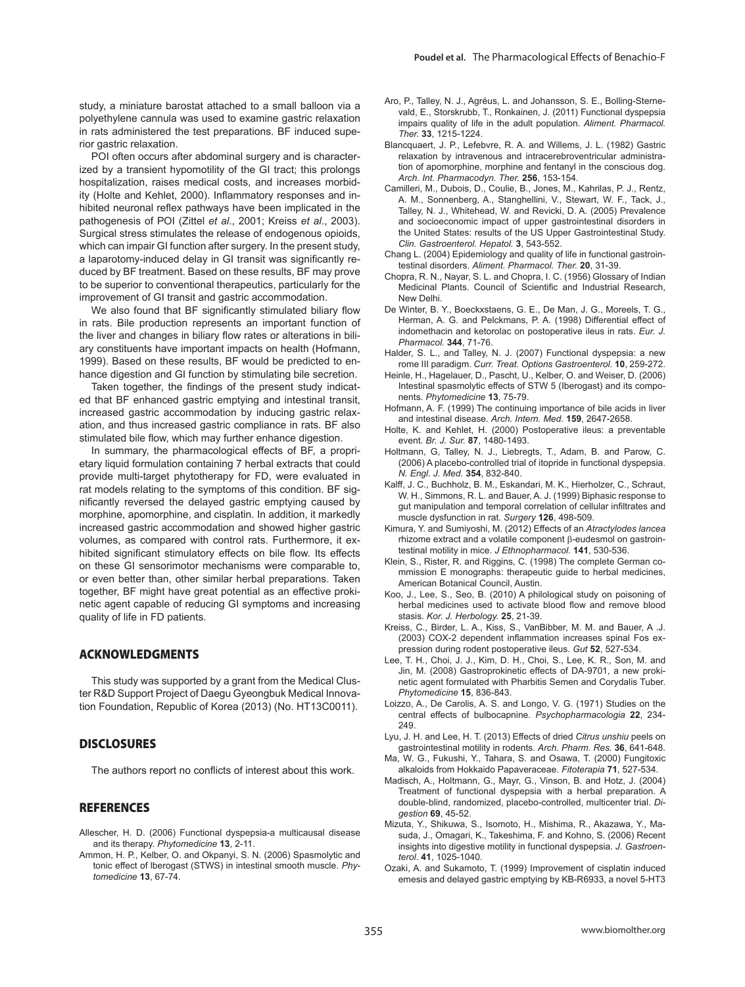study, a miniature barostat attached to a small balloon via a polyethylene cannula was used to examine gastric relaxation in rats administered the test preparations. BF induced superior gastric relaxation.

POI often occurs after abdominal surgery and is characterized by a transient hypomotility of the GI tract; this prolongs hospitalization, raises medical costs, and increases morbidity (Holte and Kehlet, 2000). Inflammatory responses and inhibited neuronal reflex pathways have been implicated in the pathogenesis of POI (Zittel *et al*., 2001; Kreiss *et al*., 2003). Surgical stress stimulates the release of endogenous opioids, which can impair GI function after surgery. In the present study, a laparotomy-induced delay in GI transit was significantly reduced by BF treatment. Based on these results, BF may prove to be superior to conventional therapeutics, particularly for the improvement of GI transit and gastric accommodation.

We also found that BF significantly stimulated biliary flow in rats. Bile production represents an important function of the liver and changes in biliary flow rates or alterations in biliary constituents have important impacts on health (Hofmann, 1999). Based on these results, BF would be predicted to enhance digestion and GI function by stimulating bile secretion.

Taken together, the findings of the present study indicated that BF enhanced gastric emptying and intestinal transit, increased gastric accommodation by inducing gastric relaxation, and thus increased gastric compliance in rats. BF also stimulated bile flow, which may further enhance digestion.

In summary, the pharmacological effects of BF, a proprietary liquid formulation containing 7 herbal extracts that could provide multi-target phytotherapy for FD, were evaluated in rat models relating to the symptoms of this condition. BF significantly reversed the delayed gastric emptying caused by morphine, apomorphine, and cisplatin. In addition, it markedly increased gastric accommodation and showed higher gastric volumes, as compared with control rats. Furthermore, it exhibited significant stimulatory effects on bile flow. Its effects on these GI sensorimotor mechanisms were comparable to, or even better than, other similar herbal preparations. Taken together, BF might have great potential as an effective prokinetic agent capable of reducing GI symptoms and increasing quality of life in FD patients.

# **ACKNOWLEDGMENTS**

This study was supported by a grant from the Medical Cluster R&D Support Project of Daegu Gyeongbuk Medical Innovation Foundation, Republic of Korea (2013) (No. HT13C0011).

# **DISCLOSURES**

The authors report no conflicts of interest about this work.

### **REFERENCES**

- Allescher, H. D. (2006) Functional dyspepsia-a multicausal disease and its therapy. *Phytomedicine* **13**, 2-11.
- Ammon, H. P., Kelber, O. and Okpanyi, S. N. (2006) Spasmolytic and tonic effect of lberogast (STWS) in intestinal smooth muscle. *Phytomedicine* **13**, 67-74.
- Aro, P., Talley, N. J., Agréus, L. and Johansson, S. E., Bolling-Sternevald, E., Storskrubb, T., Ronkainen, J. (2011) Functional dyspepsia impairs quality of life in the adult population. *Aliment. Pharmacol. Ther.* **33**, 1215-1224.
- Blancquaert, J. P., Lefebvre, R. A. and Willems, J. L. (1982) Gastric relaxation by intravenous and intracerebroventricular administration of apomorphine, morphine and fentanyl in the conscious dog. *Arch. Int. Pharmacodyn. Ther.* **256**, 153-154.
- Camilleri, M., Dubois, D., Coulie, B., Jones, M., Kahrilas, P. J., Rentz, A. M., Sonnenberg, A., Stanghellini, V., Stewart, W. F., Tack, J., Talley, N. J., Whitehead, W. and Revicki, D. A. (2005) Prevalence and socioeconomic impact of upper gastrointestinal disorders in the United States: results of the US Upper Gastrointestinal Study. *Clin. Gastroenterol. Hepatol.* **3**, 543-552.
- Chang L. (2004) Epidemiology and quality of life in functional gastrointestinal disorders. *Aliment. Pharmacol. Ther.* **20**, 31-39.
- Chopra, R. N., Nayar, S. L. and Chopra, I. C. (1956) Glossary of Indian Medicinal Plants. Council of Scientific and Industrial Research, New Delhi.
- De Winter, B. Y., Boeckxstaens, G. E., De Man, J. G., Moreels, T. G., Herman, A. G. and Pelckmans, P. A. (1998) Differential effect of indomethacin and ketorolac on postoperative ileus in rats. *Eur. J. Pharmacol.* **344**, 71-76.
- Halder, S. L., and Talley, N. J. (2007) Functional dyspepsia: a new rome III paradigm. *Curr. Treat. Options Gastroenterol.* **10**, 259-272.
- Heinle, H., Hagelauer, D., Pascht, U., Kelber, O. and Weiser, D. (2006) Intestinal spasmolytic effects of STW 5 (Iberogast) and its components. *Phytomedicine* **13**, 75-79.
- Hofmann, A. F. (1999) The continuing importance of bile acids in liver and intestinal disease. *Arch. Intern. Med.* **159**, 2647-2658.
- Holte, K. and Kehlet, H. (2000) Postoperative ileus: a preventable event. *Br. J. Sur.* **87**, 1480-1493.
- Holtmann, G, Talley, N. J., Liebregts, T., Adam, B. and Parow, C. (2006) A placebo-controlled trial of itopride in functional dyspepsia. *N. Engl. J. Med.* **354**, 832-840.
- Kalff, J. C., Buchholz, B. M., Eskandari, M. K., Hierholzer, C., Schraut, W. H., Simmons, R. L. and Bauer, A. J. (1999) Biphasic response to gut manipulation and temporal correlation of cellular infiltrates and muscle dysfunction in rat. *Surgery* **126**, 498-509.
- Kimura, Y. and Sumiyoshi, M. (2012) Effects of an *Atractylodes lancea*  rhizome extract and a volatile component β-eudesmol on gastrointestinal motility in mice. *J Ethnopharmacol.* **141**, 530-536.
- Klein, S., Rister, R. and Riggins, C. (1998) The complete German commission E monographs: therapeutic guide to herbal medicines, American Botanical Council, Austin.
- Koo, J., Lee, S., Seo, B. (2010) A philological study on poisoning of herbal medicines used to activate blood flow and remove blood stasis. *Kor. J. Herbology.* **25**, 21-39.
- Kreiss, C., Birder, L. A., Kiss, S., VanBibber, M. M. and Bauer, A .J. (2003) COX-2 dependent inflammation increases spinal Fos expression during rodent postoperative ileus. *Gut* **52**, 527-534.
- Lee, T. H., Choi, J. J., Kim, D. H., Choi, S., Lee, K. R., Son, M. and Jin, M. (2008) Gastroprokinetic effects of DA-9701, a new prokinetic agent formulated with Pharbitis Semen and Corydalis Tuber. *Phytomedicine* **15**, 836-843.
- Loizzo, A., De Carolis, A. S. and Longo, V. G. (1971) Studies on the central effects of bulbocapnine. *Psychopharmacologia* **22**, 234- 249.
- Lyu, J. H. and Lee, H. T. (2013) Effects of dried *Citrus unshiu* peels on gastrointestinal motility in rodents. *Arch. Pharm. Res.* **36**, 641-648.
- Ma, W. G., Fukushi, Y., Tahara, S. and Osawa, T. (2000) Fungitoxic alkaloids from Hokkaido Papaveraceae. *Fitoterapia* **71**, 527-534.
- Madisch, A., Holtmann, G., Mayr, G., Vinson, B. and Hotz, J. (2004) Treatment of functional dyspepsia with a herbal preparation. A double-blind, randomized, placebo-controlled, multicenter trial. *Digestion* **69**, 45-52.
- Mizuta, Y., Shikuwa, S., Isomoto, H., Mishima, R., Akazawa, Y., Masuda, J., Omagari, K., Takeshima, F. and Kohno, S. (2006) Recent insights into digestive motility in functional dyspepsia. *J. Gastroenterol*. **41**, 1025-1040.
- Ozaki, A. and Sukamoto, T. (1999) Improvement of cisplatin induced emesis and delayed gastric emptying by KB-R6933, a novel 5-HT3